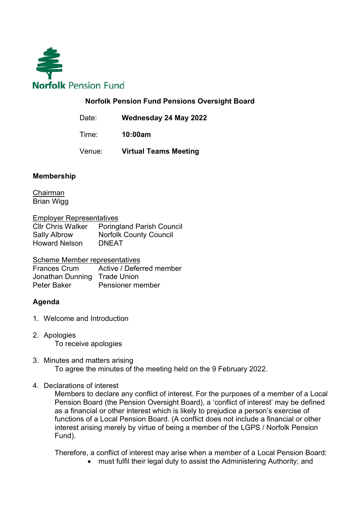

## Norfolk Pension Fund Pensions Oversight Board

Date: Wednesday 24 May 2022

Time: 10:00am

Venue: Virtual Teams Meeting

## Membership

Chairman Brian Wigg

Employer Representatives

Cllr Chris Walker Poringland Parish Council Sally Albrow Norfolk County Council Howard Nelson DNEAT

Scheme Member representatives

Frances Crum Active / Deferred member Jonathan Dunning Trade Union Peter Baker Pensioner member

## Agenda

- 1. Welcome and Introduction
- 2. Apologies To receive apologies
- 3. Minutes and matters arising To agree the minutes of the meeting held on the 9 February 2022.
- 4. Declarations of interest

Members to declare any conflict of interest. For the purposes of a member of a Local Pension Board (the Pension Oversight Board), a 'conflict of interest' may be defined as a financial or other interest which is likely to prejudice a person's exercise of functions of a Local Pension Board. (A conflict does not include a financial or other interest arising merely by virtue of being a member of the LGPS / Norfolk Pension Fund).

Therefore, a conflict of interest may arise when a member of a Local Pension Board:

must fulfil their legal duty to assist the Administering Authority; and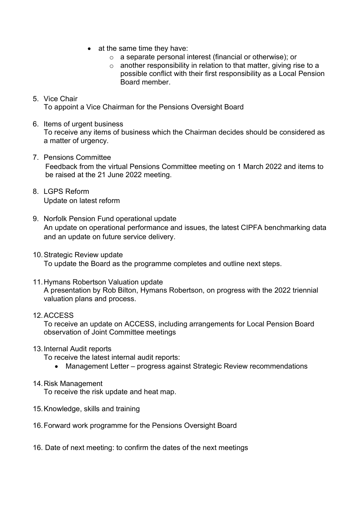- $\bullet$  at the same time they have:
	- o a separate personal interest (financial or otherwise); or
	- $\circ$  another responsibility in relation to that matter, giving rise to a possible conflict with their first responsibility as a Local Pension Board member.
- 5. Vice Chair To appoint a Vice Chairman for the Pensions Oversight Board
- 6. Items of urgent business To receive any items of business which the Chairman decides should be considered as a matter of urgency.
- 7. Pensions Committee Feedback from the virtual Pensions Committee meeting on 1 March 2022 and items to be raised at the 21 June 2022 meeting.
- 8. LGPS Reform Update on latest reform
- 9. Norfolk Pension Fund operational update An update on operational performance and issues, the latest CIPFA benchmarking data and an update on future service delivery.
- 10. Strategic Review update To update the Board as the programme completes and outline next steps.
- 11. Hymans Robertson Valuation update A presentation by Rob Bilton, Hymans Robertson, on progress with the 2022 triennial valuation plans and process.
- 12. ACCESS

To receive an update on ACCESS, including arrangements for Local Pension Board observation of Joint Committee meetings

13. Internal Audit reports

To receive the latest internal audit reports:

- Management Letter progress against Strategic Review recommendations
- 14. Risk Management

To receive the risk update and heat map.

- 15. Knowledge, skills and training
- 16. Forward work programme for the Pensions Oversight Board
- 16. Date of next meeting: to confirm the dates of the next meetings